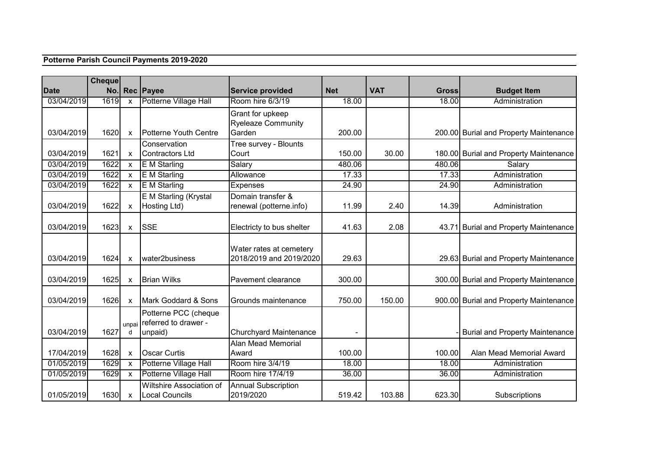## **Potterne Parish Council Payments 2019-2020**

|             | Cheque |                           |                                                    |                                                    |            |            |              |                                        |
|-------------|--------|---------------------------|----------------------------------------------------|----------------------------------------------------|------------|------------|--------------|----------------------------------------|
| <b>Date</b> | No.    |                           | Rec Payee                                          | <b>Service provided</b>                            | <b>Net</b> | <b>VAT</b> | <b>Gross</b> | <b>Budget Item</b>                     |
| 03/04/2019  | 1619   | X                         | Potterne Village Hall                              | Room hire 6/3/19                                   | 18.00      |            | 18.00        | Administration                         |
|             |        |                           |                                                    | Grant for upkeep<br><b>Ryeleaze Community</b>      |            |            |              |                                        |
| 03/04/2019  | 1620   | $\pmb{\times}$            | Potterne Youth Centre                              | Garden                                             | 200.00     |            |              | 200.00 Burial and Property Maintenance |
|             |        |                           | Conservation                                       | Tree survey - Blounts                              |            |            |              |                                        |
| 03/04/2019  | 1621   | $\boldsymbol{\mathsf{x}}$ | Contractors Ltd                                    | Court                                              | 150.00     | 30.00      |              | 180.00 Burial and Property Maintenance |
| 03/04/2019  | 1622   | $\pmb{\times}$            | <b>E</b> M Starling                                | Salary                                             | 480.06     |            | 480.06       | Salary                                 |
| 03/04/2019  | 1622   | $\boldsymbol{\mathsf{x}}$ | <b>E</b> M Starling                                | Allowance                                          | 17.33      |            | 17.33        | Administration                         |
| 03/04/2019  | 1622   | X                         | <b>E</b> M Starling                                | <b>Expenses</b>                                    | 24.90      |            | 24.90        | Administration                         |
| 03/04/2019  | 1622   | X                         | E M Starling (Krystal<br>Hosting Ltd)              | Domain transfer &<br>renewal (potterne.info)       | 11.99      | 2.40       | 14.39        | Administration                         |
| 03/04/2019  | 1623   | $\mathsf{x}$              | <b>SSE</b>                                         | Electricty to bus shelter                          | 41.63      | 2.08       |              | 43.71 Burial and Property Maintenance  |
| 03/04/2019  | 1624   | X                         | water2business                                     | Water rates at cemetery<br>2018/2019 and 2019/2020 | 29.63      |            |              | 29.63 Burial and Property Maintenance  |
| 03/04/2019  | 1625   | X                         | <b>Brian Wilks</b>                                 | Pavement clearance                                 | 300.00     |            |              | 300.00 Burial and Property Maintenance |
| 03/04/2019  | 1626   | $\pmb{\times}$            | Mark Goddard & Sons                                | Grounds maintenance                                | 750.00     | 150.00     |              | 900.00 Burial and Property Maintenance |
|             |        |                           | Potterne PCC (cheque<br>unpai referred to drawer - |                                                    |            |            |              |                                        |
| 03/04/2019  | 1627   | d                         | unpaid)                                            | <b>Churchyard Maintenance</b>                      |            |            |              | <b>Burial and Property Maintenance</b> |
| 17/04/2019  | 1628   | $\pmb{\times}$            | <b>Oscar Curtis</b>                                | <b>Alan Mead Memorial</b><br>Award                 | 100.00     |            | 100.00       | Alan Mead Memorial Award               |
| 01/05/2019  | 1629   | $\mathsf{x}$              | Potterne Village Hall                              | Room hire 3/4/19                                   | 18.00      |            | 18.00        | Administration                         |
| 01/05/2019  | 1629   | $\mathsf{x}$              | Potterne Village Hall                              | Room hire 17/4/19                                  | 36.00      |            | 36.00        | Administration                         |
|             |        |                           | Wiltshire Association of                           | <b>Annual Subscription</b>                         |            |            |              |                                        |
| 01/05/2019  | 1630   | $\mathsf{x}$              | Local Councils                                     | 2019/2020                                          | 519.42     | 103.88     | 623.30       | Subscriptions                          |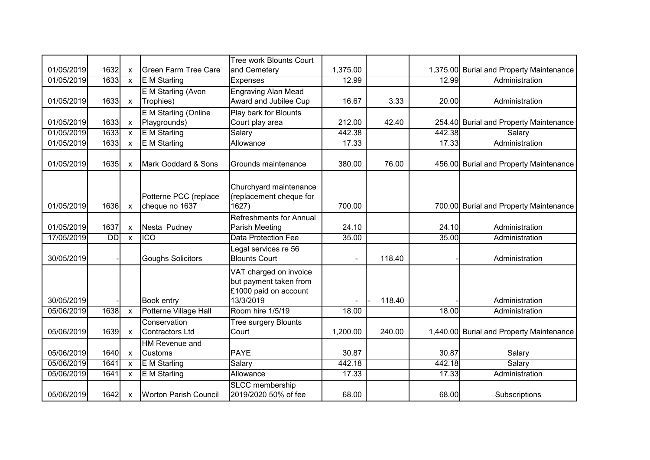|            |           |                           |                                         | Tree work Blounts Court                                                                |                |        |        |                                          |
|------------|-----------|---------------------------|-----------------------------------------|----------------------------------------------------------------------------------------|----------------|--------|--------|------------------------------------------|
| 01/05/2019 | 1632      | $\boldsymbol{\mathsf{x}}$ | <b>Green Farm Tree Care</b>             | and Cemetery                                                                           | 1,375.00       |        |        | 1,375.00 Burial and Property Maintenance |
| 01/05/2019 | 1633      | $\mathsf{x}$              | <b>E</b> M Starling                     | <b>Expenses</b>                                                                        | 12.99          |        | 12.99  | Administration                           |
|            |           |                           | E M Starling (Avon                      | <b>Engraving Alan Mead</b>                                                             |                |        |        |                                          |
| 01/05/2019 | 1633      | $\mathsf{x}$              | Trophies)                               | Award and Jubilee Cup                                                                  | 16.67          | 3.33   | 20.00  | Administration                           |
|            |           |                           | E M Starling (Online                    | Play bark for Blounts                                                                  |                |        |        |                                          |
| 01/05/2019 | 1633      | $\boldsymbol{\mathsf{X}}$ | Playgrounds)                            | Court play area                                                                        | 212.00         | 42.40  |        | 254.40 Burial and Property Maintenance   |
| 01/05/2019 | 1633      | $\mathsf{x}$              | <b>E</b> M Starling                     | Salary                                                                                 | 442.38         |        | 442.38 | Salary                                   |
| 01/05/2019 | 1633      | $\mathsf{x}$              | E M Starling                            | Allowance                                                                              | 17.33          |        | 17.33  | Administration                           |
| 01/05/2019 | 1635      | $\mathsf{x}$              | Mark Goddard & Sons                     | Grounds maintenance                                                                    | 380.00         | 76.00  |        | 456.00 Burial and Property Maintenance   |
| 01/05/2019 | 1636      | $\boldsymbol{\mathsf{X}}$ | Potterne PCC (replace<br>cheque no 1637 | Churchyard maintenance<br>(replacement cheque for<br>1627)                             | 700.00         |        |        | 700.00 Burial and Property Maintenance   |
|            |           |                           |                                         | <b>Refreshments for Annual</b>                                                         |                |        |        |                                          |
| 01/05/2019 | 1637      | $\boldsymbol{\mathsf{x}}$ | Nesta Pudney                            | Parish Meeting                                                                         | 24.10          |        | 24.10  | Administration                           |
| 17/05/2019 | <b>DD</b> | $\pmb{\chi}$              | <b>ICO</b>                              | <b>Data Protection Fee</b>                                                             | 35.00          |        | 35.00  | Administration                           |
| 30/05/2019 |           |                           | <b>Goughs Solicitors</b>                | Legal services re 56<br><b>Blounts Court</b>                                           | $\blacksquare$ | 118.40 |        | Administration                           |
| 30/05/2019 |           |                           | <b>Book entry</b>                       | VAT charged on invoice<br>but payment taken from<br>£1000 paid on account<br>13/3/2019 |                | 118.40 |        | Administration                           |
| 05/06/2019 | 1638      | $\mathsf{x}$              | Potterne Village Hall                   | Room hire 1/5/19                                                                       | 18.00          |        | 18.00  | Administration                           |
| 05/06/2019 | 1639      | $\mathsf{x}$              | Conservation<br><b>Contractors Ltd</b>  | Tree surgery Blounts<br>Court                                                          | 1,200.00       | 240.00 |        | 1,440.00 Burial and Property Maintenance |
|            |           |                           | HM Revenue and                          |                                                                                        |                |        |        |                                          |
| 05/06/2019 | 1640      | $\mathsf{x}$              | <b>Customs</b>                          | <b>PAYE</b>                                                                            | 30.87          |        | 30.87  | Salary                                   |
| 05/06/2019 | 1641      | $\mathsf{x}$              | <b>E</b> M Starling                     | Salary                                                                                 | 442.18         |        | 442.18 | Salary                                   |
| 05/06/2019 | 1641      | $\mathsf{x}$              | <b>E</b> M Starling                     | <b>Allowance</b>                                                                       | 17.33          |        | 17.33  | Administration                           |
| 05/06/2019 | 1642      | $\boldsymbol{\mathsf{X}}$ | Worton Parish Council                   | <b>SLCC</b> membership<br>2019/2020 50% of fee                                         | 68.00          |        | 68.00  | Subscriptions                            |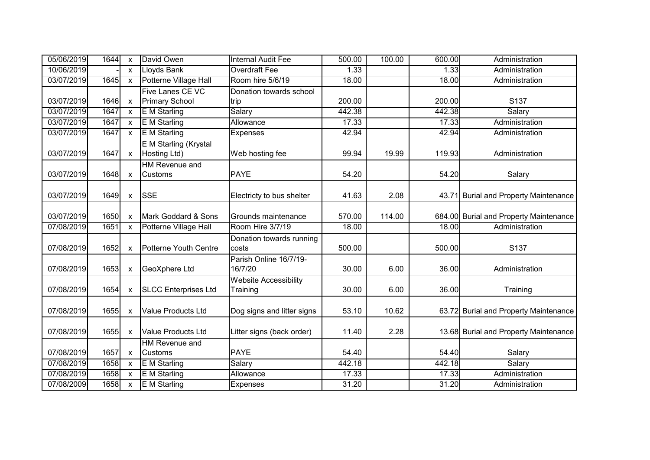| 05/06/2019 | 1644 | X            | David Owen                              | <b>Internal Audit Fee</b>                | 500.00 | 100.00 | 600.00 | Administration                         |
|------------|------|--------------|-----------------------------------------|------------------------------------------|--------|--------|--------|----------------------------------------|
| 10/06/2019 |      | $\mathsf{x}$ | Lloyds Bank                             | <b>Overdraft Fee</b>                     | 1.33   |        | 1.33   | Administration                         |
| 03/07/2019 | 1645 | $\mathsf{x}$ | Potterne Village Hall                   | Room hire 5/6/19                         | 18.00  |        | 18.00  | Administration                         |
| 03/07/2019 | 1646 | $\mathsf{x}$ | Five Lanes CE VC<br>Primary School      | Donation towards school<br>trip          | 200.00 |        | 200.00 | S <sub>137</sub>                       |
| 03/07/2019 | 1647 | $\mathsf{x}$ | <b>E</b> M Starling                     | Salary                                   | 442.38 |        | 442.38 | Salary                                 |
| 03/07/2019 | 1647 | $\mathsf{x}$ | <b>E</b> M Starling                     | Allowance                                | 17.33  |        | 17.33  | Administration                         |
| 03/07/2019 | 1647 | $\mathsf{x}$ | <b>E</b> M Starling                     | Expenses                                 | 42.94  |        | 42.94  | Administration                         |
| 03/07/2019 | 1647 | X            | E M Starling (Krystal<br>Hosting Ltd)   | Web hosting fee                          | 99.94  | 19.99  | 119.93 | Administration                         |
| 03/07/2019 | 1648 | $\mathsf{x}$ | HM Revenue and<br>Customs               | <b>PAYE</b>                              | 54.20  |        | 54.20  | Salary                                 |
| 03/07/2019 | 1649 | X            | <b>SSE</b>                              | Electricty to bus shelter                | 41.63  | 2.08   | 43.71  | <b>Burial and Property Maintenance</b> |
| 03/07/2019 | 1650 | $\mathsf{x}$ | Mark Goddard & Sons                     | Grounds maintenance                      | 570.00 | 114.00 |        | 684.00 Burial and Property Maintenance |
| 07/08/2019 | 1651 | $\mathsf{x}$ | Potterne Village Hall                   | Room Hire 3/7/19                         | 18.00  |        | 18.00  | Administration                         |
| 07/08/2019 | 1652 | X            | <b>I</b> Potterne Youth Centre          | Donation towards running<br>costs        | 500.00 |        | 500.00 | S137                                   |
| 07/08/2019 | 1653 | X            | GeoXphere Ltd                           | Parish Online 16/7/19-<br>16/7/20        | 30.00  | 6.00   | 36.00  | Administration                         |
| 07/08/2019 | 1654 | $\mathsf{x}$ | <b>SLCC Enterprises Ltd</b>             | <b>Website Accessibility</b><br>Training | 30.00  | 6.00   | 36.00  | Training                               |
| 07/08/2019 | 1655 | X            | <b>Value Products Ltd</b>               | Dog signs and litter signs               | 53.10  | 10.62  |        | 63.72 Burial and Property Maintenance  |
| 07/08/2019 | 1655 | X            | Value Products Ltd                      | Litter signs (back order)                | 11.40  | 2.28   |        | 13.68 Burial and Property Maintenance  |
| 07/08/2019 | 1657 | $\mathsf{x}$ | <b>HM</b> Revenue and<br><b>Customs</b> | <b>PAYE</b>                              | 54.40  |        | 54.40  | Salary                                 |
| 07/08/2019 | 1658 | $\mathsf{x}$ | <b>E</b> M Starling                     | Salary                                   | 442.18 |        | 442.18 | Salary                                 |
| 07/08/2019 | 1658 | $\mathsf{x}$ | <b>E</b> M Starling                     | Allowance                                | 17.33  |        | 17.33  | Administration                         |
| 07/08/2009 | 1658 | $\mathsf{x}$ | E M Starling                            | Expenses                                 | 31.20  |        | 31.20  | Administration                         |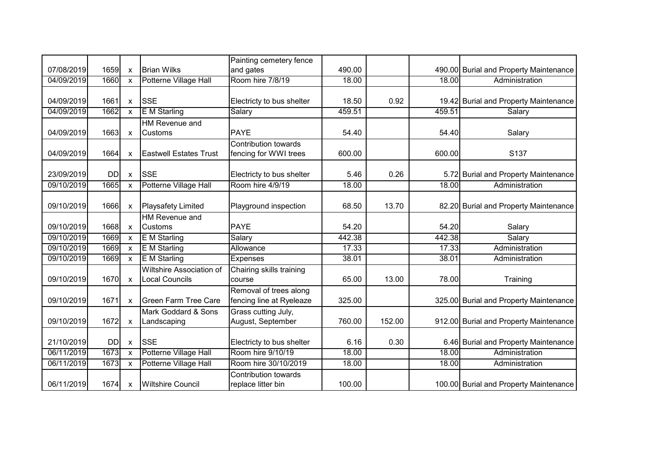|            |           |                           |                                                   | Painting cemetery fence                              |        |        |        |                                        |
|------------|-----------|---------------------------|---------------------------------------------------|------------------------------------------------------|--------|--------|--------|----------------------------------------|
| 07/08/2019 | 1659      | $\boldsymbol{\mathsf{x}}$ | <b>I</b> Brian Wilks                              | and gates                                            | 490.00 |        |        | 490.00 Burial and Property Maintenance |
| 04/09/2019 | 1660      | $\mathsf{x}$              | Potterne Village Hall                             | Room hire 7/8/19                                     | 18.00  |        | 18.00  | Administration                         |
|            |           |                           |                                                   |                                                      |        |        |        |                                        |
| 04/09/2019 | 1661      | $\boldsymbol{\mathsf{x}}$ | <b>SSE</b>                                        | Electricty to bus shelter                            | 18.50  | 0.92   |        | 19.42 Burial and Property Maintenance  |
| 04/09/2019 | 1662      | $\mathsf{x}$              | <b>E</b> M Starling                               | Salary                                               | 459.51 |        | 459.51 | Salary                                 |
| 04/09/2019 | 1663      | $\boldsymbol{\mathsf{x}}$ | HM Revenue and<br><b>Customs</b>                  | <b>PAYE</b>                                          | 54.40  |        | 54.40  | Salary                                 |
| 04/09/2019 | 1664      | $\mathsf{x}$              | <b>Eastwell Estates Trust</b>                     | <b>Contribution towards</b><br>fencing for WWI trees | 600.00 |        | 600.00 | S137                                   |
| 23/09/2019 | <b>DD</b> | $\boldsymbol{\mathsf{x}}$ | <b>SSE</b>                                        | Electricty to bus shelter                            | 5.46   | 0.26   |        | 5.72 Burial and Property Maintenance   |
| 09/10/2019 | 1665      | $\boldsymbol{\mathsf{x}}$ | <b>Potterne Village Hall</b>                      | Room hire 4/9/19                                     | 18.00  |        | 18.00  | Administration                         |
| 09/10/2019 | 1666      | $\boldsymbol{\mathsf{X}}$ | Playsafety Limited                                | Playground inspection                                | 68.50  | 13.70  |        | 82.20 Burial and Property Maintenance  |
|            |           |                           | HM Revenue and                                    |                                                      |        |        |        |                                        |
| 09/10/2019 | 1668      | $\boldsymbol{\mathsf{X}}$ | <b>Customs</b>                                    | <b>PAYE</b>                                          | 54.20  |        | 54.20  | Salary                                 |
| 09/10/2019 | 1669      | $\mathsf{x}$              | <b>E</b> M Starling                               | Salary                                               | 442.38 |        | 442.38 | Salary                                 |
| 09/10/2019 | 1669      | $\mathsf{x}$              | E M Starling                                      | Allowance                                            | 17.33  |        | 17.33  | Administration                         |
| 09/10/2019 | 1669      | $\boldsymbol{\mathsf{x}}$ | <b>E</b> M Starling                               | <b>Expenses</b>                                      | 38.01  |        | 38.01  | Administration                         |
| 09/10/2019 | 1670      | $\mathsf{x}$              | Wiltshire Association of<br><b>Local Councils</b> | Chairing skills training<br>course                   | 65.00  | 13.00  | 78.00  | Training                               |
| 09/10/2019 | 1671      | $\boldsymbol{\mathsf{x}}$ | <b>Green Farm Tree Care</b>                       | Removal of trees along<br>fencing line at Ryeleaze   | 325.00 |        |        | 325.00 Burial and Property Maintenance |
| 09/10/2019 | 1672      | $\boldsymbol{\mathsf{x}}$ | Mark Goddard & Sons<br>Landscaping                | Grass cutting July,<br>August, September             | 760.00 | 152.00 |        | 912.00 Burial and Property Maintenance |
| 21/10/2019 | <b>DD</b> | $\boldsymbol{\mathsf{x}}$ | <b>ISSE</b>                                       | Electricty to bus shelter                            | 6.16   | 0.30   |        | 6.46 Burial and Property Maintenance   |
| 06/11/2019 | 1673      | $\mathsf{x}$              | Potterne Village Hall                             | Room hire 9/10/19                                    | 18.00  |        | 18.00  | Administration                         |
| 06/11/2019 | 1673      | $\mathsf{x}$              | Potterne Village Hall                             | Room hire 30/10/2019                                 | 18.00  |        | 18.00  | Administration                         |
| 06/11/2019 | 1674      | $\boldsymbol{\mathsf{x}}$ | Wiltshire Council                                 | <b>Contribution towards</b><br>replace litter bin    | 100.00 |        |        | 100.00 Burial and Property Maintenance |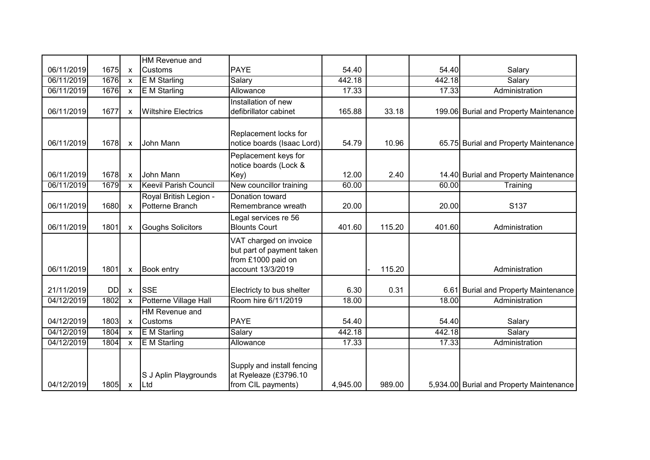| 06/11/2019<br>1675<br><b>PAYE</b><br>54.40<br>54.40<br><b>Customs</b><br>Salary<br>$\boldsymbol{\mathsf{X}}$<br>1676<br>E M Starling<br>Salary<br>442.18<br>06/11/2019<br>442.18<br>Salary<br>$\mathsf{x}$<br>06/11/2019<br>1676<br><b>E</b> M Starling<br>17.33<br>17.33<br>Allowance<br>Administration<br>$\mathsf{x}$<br>Installation of new<br><b>Wiltshire Electrics</b><br>165.88<br>06/11/2019<br>1677<br>defibrillator cabinet<br>33.18<br>199.06 Burial and Property Maintenance<br>$\boldsymbol{\mathsf{x}}$<br>Replacement locks for<br>06/11/2019<br>1678<br>John Mann<br>notice boards (Isaac Lord)<br>54.79<br>10.96<br>65.75 Burial and Property Maintenance<br>$\boldsymbol{\mathsf{x}}$<br>Peplacement keys for<br>notice boards (Lock &<br>06/11/2019<br>1678<br>John Mann<br>Key)<br>12.00<br>2.40<br>14.40 Burial and Property Maintenance<br>$\pmb{\chi}$<br>1679<br>New councillor training<br>Training<br>06/11/2019<br><b>Keevil Parish Council</b><br>60.00<br>60.00<br>$\mathsf{x}$<br>Royal British Legion -<br>Donation toward<br>06/11/2019<br>1680<br>Potterne Branch<br>20.00<br>S137<br>Remembrance wreath<br>20.00<br>$\boldsymbol{\mathsf{x}}$<br>egal services re 56<br>06/11/2019<br>1801<br><b>Goughs Solicitors</b><br><b>Blounts Court</b><br>401.60<br>115.20<br>401.60<br>Administration<br>$\boldsymbol{\mathsf{X}}$<br>VAT charged on invoice<br>but part of payment taken<br>from £1000 paid on<br>account 13/3/2019<br>115.20<br>06/11/2019<br>1801<br><b>Book entry</b><br>Administration<br>$\boldsymbol{\mathsf{x}}$<br>21/11/2019<br><b>SSE</b><br>6.30<br>0.31<br>6.61 Burial and Property Maintenance<br><b>DD</b><br>Electricty to bus shelter<br>$\mathsf{x}$<br>Room hire 6/11/2019<br>Potterne Village Hall<br>04/12/2019<br>1802<br>18.00<br>18.00<br>Administration<br>$\mathsf{x}$<br>HM Revenue and<br>04/12/2019<br>1803<br><b>PAYE</b><br>54.40<br><b>Customs</b><br>54.40<br>Salary<br>$\mathsf{x}$<br>442.18<br>04/12/2019<br>1804<br>E M Starling<br>Salary<br>442.18<br>Salary<br>$\mathsf{x}$<br>04/12/2019<br>1804<br>E M Starling<br>17.33<br>17.33<br>Allowance<br>Administration<br>$\mathsf{x}$ |  | <b>HM Revenue and</b> |  |  |  |
|------------------------------------------------------------------------------------------------------------------------------------------------------------------------------------------------------------------------------------------------------------------------------------------------------------------------------------------------------------------------------------------------------------------------------------------------------------------------------------------------------------------------------------------------------------------------------------------------------------------------------------------------------------------------------------------------------------------------------------------------------------------------------------------------------------------------------------------------------------------------------------------------------------------------------------------------------------------------------------------------------------------------------------------------------------------------------------------------------------------------------------------------------------------------------------------------------------------------------------------------------------------------------------------------------------------------------------------------------------------------------------------------------------------------------------------------------------------------------------------------------------------------------------------------------------------------------------------------------------------------------------------------------------------------------------------------------------------------------------------------------------------------------------------------------------------------------------------------------------------------------------------------------------------------------------------------------------------------------------------------------------------------------------------------------------------------------------------------------------------------------------------------------------------------|--|-----------------------|--|--|--|
|                                                                                                                                                                                                                                                                                                                                                                                                                                                                                                                                                                                                                                                                                                                                                                                                                                                                                                                                                                                                                                                                                                                                                                                                                                                                                                                                                                                                                                                                                                                                                                                                                                                                                                                                                                                                                                                                                                                                                                                                                                                                                                                                                                        |  |                       |  |  |  |
|                                                                                                                                                                                                                                                                                                                                                                                                                                                                                                                                                                                                                                                                                                                                                                                                                                                                                                                                                                                                                                                                                                                                                                                                                                                                                                                                                                                                                                                                                                                                                                                                                                                                                                                                                                                                                                                                                                                                                                                                                                                                                                                                                                        |  |                       |  |  |  |
|                                                                                                                                                                                                                                                                                                                                                                                                                                                                                                                                                                                                                                                                                                                                                                                                                                                                                                                                                                                                                                                                                                                                                                                                                                                                                                                                                                                                                                                                                                                                                                                                                                                                                                                                                                                                                                                                                                                                                                                                                                                                                                                                                                        |  |                       |  |  |  |
|                                                                                                                                                                                                                                                                                                                                                                                                                                                                                                                                                                                                                                                                                                                                                                                                                                                                                                                                                                                                                                                                                                                                                                                                                                                                                                                                                                                                                                                                                                                                                                                                                                                                                                                                                                                                                                                                                                                                                                                                                                                                                                                                                                        |  |                       |  |  |  |
|                                                                                                                                                                                                                                                                                                                                                                                                                                                                                                                                                                                                                                                                                                                                                                                                                                                                                                                                                                                                                                                                                                                                                                                                                                                                                                                                                                                                                                                                                                                                                                                                                                                                                                                                                                                                                                                                                                                                                                                                                                                                                                                                                                        |  |                       |  |  |  |
|                                                                                                                                                                                                                                                                                                                                                                                                                                                                                                                                                                                                                                                                                                                                                                                                                                                                                                                                                                                                                                                                                                                                                                                                                                                                                                                                                                                                                                                                                                                                                                                                                                                                                                                                                                                                                                                                                                                                                                                                                                                                                                                                                                        |  |                       |  |  |  |
|                                                                                                                                                                                                                                                                                                                                                                                                                                                                                                                                                                                                                                                                                                                                                                                                                                                                                                                                                                                                                                                                                                                                                                                                                                                                                                                                                                                                                                                                                                                                                                                                                                                                                                                                                                                                                                                                                                                                                                                                                                                                                                                                                                        |  |                       |  |  |  |
|                                                                                                                                                                                                                                                                                                                                                                                                                                                                                                                                                                                                                                                                                                                                                                                                                                                                                                                                                                                                                                                                                                                                                                                                                                                                                                                                                                                                                                                                                                                                                                                                                                                                                                                                                                                                                                                                                                                                                                                                                                                                                                                                                                        |  |                       |  |  |  |
|                                                                                                                                                                                                                                                                                                                                                                                                                                                                                                                                                                                                                                                                                                                                                                                                                                                                                                                                                                                                                                                                                                                                                                                                                                                                                                                                                                                                                                                                                                                                                                                                                                                                                                                                                                                                                                                                                                                                                                                                                                                                                                                                                                        |  |                       |  |  |  |
|                                                                                                                                                                                                                                                                                                                                                                                                                                                                                                                                                                                                                                                                                                                                                                                                                                                                                                                                                                                                                                                                                                                                                                                                                                                                                                                                                                                                                                                                                                                                                                                                                                                                                                                                                                                                                                                                                                                                                                                                                                                                                                                                                                        |  |                       |  |  |  |
|                                                                                                                                                                                                                                                                                                                                                                                                                                                                                                                                                                                                                                                                                                                                                                                                                                                                                                                                                                                                                                                                                                                                                                                                                                                                                                                                                                                                                                                                                                                                                                                                                                                                                                                                                                                                                                                                                                                                                                                                                                                                                                                                                                        |  |                       |  |  |  |
|                                                                                                                                                                                                                                                                                                                                                                                                                                                                                                                                                                                                                                                                                                                                                                                                                                                                                                                                                                                                                                                                                                                                                                                                                                                                                                                                                                                                                                                                                                                                                                                                                                                                                                                                                                                                                                                                                                                                                                                                                                                                                                                                                                        |  |                       |  |  |  |
|                                                                                                                                                                                                                                                                                                                                                                                                                                                                                                                                                                                                                                                                                                                                                                                                                                                                                                                                                                                                                                                                                                                                                                                                                                                                                                                                                                                                                                                                                                                                                                                                                                                                                                                                                                                                                                                                                                                                                                                                                                                                                                                                                                        |  |                       |  |  |  |
|                                                                                                                                                                                                                                                                                                                                                                                                                                                                                                                                                                                                                                                                                                                                                                                                                                                                                                                                                                                                                                                                                                                                                                                                                                                                                                                                                                                                                                                                                                                                                                                                                                                                                                                                                                                                                                                                                                                                                                                                                                                                                                                                                                        |  |                       |  |  |  |
|                                                                                                                                                                                                                                                                                                                                                                                                                                                                                                                                                                                                                                                                                                                                                                                                                                                                                                                                                                                                                                                                                                                                                                                                                                                                                                                                                                                                                                                                                                                                                                                                                                                                                                                                                                                                                                                                                                                                                                                                                                                                                                                                                                        |  |                       |  |  |  |
|                                                                                                                                                                                                                                                                                                                                                                                                                                                                                                                                                                                                                                                                                                                                                                                                                                                                                                                                                                                                                                                                                                                                                                                                                                                                                                                                                                                                                                                                                                                                                                                                                                                                                                                                                                                                                                                                                                                                                                                                                                                                                                                                                                        |  |                       |  |  |  |
|                                                                                                                                                                                                                                                                                                                                                                                                                                                                                                                                                                                                                                                                                                                                                                                                                                                                                                                                                                                                                                                                                                                                                                                                                                                                                                                                                                                                                                                                                                                                                                                                                                                                                                                                                                                                                                                                                                                                                                                                                                                                                                                                                                        |  |                       |  |  |  |
|                                                                                                                                                                                                                                                                                                                                                                                                                                                                                                                                                                                                                                                                                                                                                                                                                                                                                                                                                                                                                                                                                                                                                                                                                                                                                                                                                                                                                                                                                                                                                                                                                                                                                                                                                                                                                                                                                                                                                                                                                                                                                                                                                                        |  |                       |  |  |  |
|                                                                                                                                                                                                                                                                                                                                                                                                                                                                                                                                                                                                                                                                                                                                                                                                                                                                                                                                                                                                                                                                                                                                                                                                                                                                                                                                                                                                                                                                                                                                                                                                                                                                                                                                                                                                                                                                                                                                                                                                                                                                                                                                                                        |  |                       |  |  |  |
|                                                                                                                                                                                                                                                                                                                                                                                                                                                                                                                                                                                                                                                                                                                                                                                                                                                                                                                                                                                                                                                                                                                                                                                                                                                                                                                                                                                                                                                                                                                                                                                                                                                                                                                                                                                                                                                                                                                                                                                                                                                                                                                                                                        |  |                       |  |  |  |
|                                                                                                                                                                                                                                                                                                                                                                                                                                                                                                                                                                                                                                                                                                                                                                                                                                                                                                                                                                                                                                                                                                                                                                                                                                                                                                                                                                                                                                                                                                                                                                                                                                                                                                                                                                                                                                                                                                                                                                                                                                                                                                                                                                        |  |                       |  |  |  |
|                                                                                                                                                                                                                                                                                                                                                                                                                                                                                                                                                                                                                                                                                                                                                                                                                                                                                                                                                                                                                                                                                                                                                                                                                                                                                                                                                                                                                                                                                                                                                                                                                                                                                                                                                                                                                                                                                                                                                                                                                                                                                                                                                                        |  |                       |  |  |  |
|                                                                                                                                                                                                                                                                                                                                                                                                                                                                                                                                                                                                                                                                                                                                                                                                                                                                                                                                                                                                                                                                                                                                                                                                                                                                                                                                                                                                                                                                                                                                                                                                                                                                                                                                                                                                                                                                                                                                                                                                                                                                                                                                                                        |  |                       |  |  |  |
|                                                                                                                                                                                                                                                                                                                                                                                                                                                                                                                                                                                                                                                                                                                                                                                                                                                                                                                                                                                                                                                                                                                                                                                                                                                                                                                                                                                                                                                                                                                                                                                                                                                                                                                                                                                                                                                                                                                                                                                                                                                                                                                                                                        |  |                       |  |  |  |
|                                                                                                                                                                                                                                                                                                                                                                                                                                                                                                                                                                                                                                                                                                                                                                                                                                                                                                                                                                                                                                                                                                                                                                                                                                                                                                                                                                                                                                                                                                                                                                                                                                                                                                                                                                                                                                                                                                                                                                                                                                                                                                                                                                        |  |                       |  |  |  |
|                                                                                                                                                                                                                                                                                                                                                                                                                                                                                                                                                                                                                                                                                                                                                                                                                                                                                                                                                                                                                                                                                                                                                                                                                                                                                                                                                                                                                                                                                                                                                                                                                                                                                                                                                                                                                                                                                                                                                                                                                                                                                                                                                                        |  |                       |  |  |  |
|                                                                                                                                                                                                                                                                                                                                                                                                                                                                                                                                                                                                                                                                                                                                                                                                                                                                                                                                                                                                                                                                                                                                                                                                                                                                                                                                                                                                                                                                                                                                                                                                                                                                                                                                                                                                                                                                                                                                                                                                                                                                                                                                                                        |  |                       |  |  |  |
|                                                                                                                                                                                                                                                                                                                                                                                                                                                                                                                                                                                                                                                                                                                                                                                                                                                                                                                                                                                                                                                                                                                                                                                                                                                                                                                                                                                                                                                                                                                                                                                                                                                                                                                                                                                                                                                                                                                                                                                                                                                                                                                                                                        |  |                       |  |  |  |
| Supply and install fencing<br>at Ryeleaze (£3796.10<br>S J Aplin Playgrounds                                                                                                                                                                                                                                                                                                                                                                                                                                                                                                                                                                                                                                                                                                                                                                                                                                                                                                                                                                                                                                                                                                                                                                                                                                                                                                                                                                                                                                                                                                                                                                                                                                                                                                                                                                                                                                                                                                                                                                                                                                                                                           |  |                       |  |  |  |
| 04/12/2019<br>1805<br>from CIL payments)<br>4,945.00<br>989.00<br>5,934.00 Burial and Property Maintenance<br>Ltd<br>$\pmb{\mathsf{X}}$                                                                                                                                                                                                                                                                                                                                                                                                                                                                                                                                                                                                                                                                                                                                                                                                                                                                                                                                                                                                                                                                                                                                                                                                                                                                                                                                                                                                                                                                                                                                                                                                                                                                                                                                                                                                                                                                                                                                                                                                                                |  |                       |  |  |  |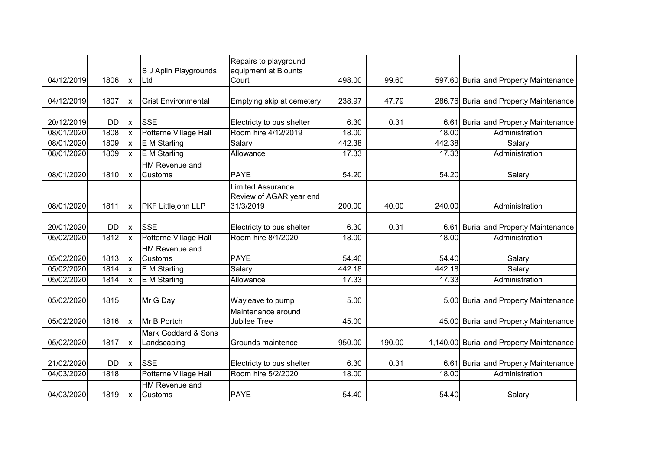| 04/12/2019 | 1806      | $\mathsf{x}$              | S J Aplin Playgrounds<br>∣Ltd      | Repairs to playground<br>equipment at Blounts<br>Court           | 498.00 | 99.60  |        | 597.60 Burial and Property Maintenance   |
|------------|-----------|---------------------------|------------------------------------|------------------------------------------------------------------|--------|--------|--------|------------------------------------------|
|            |           |                           |                                    |                                                                  |        |        |        |                                          |
| 04/12/2019 | 1807      | $\boldsymbol{\mathsf{x}}$ | <b>Grist Environmental</b>         | Emptying skip at cemetery                                        | 238.97 | 47.79  |        | 286.76 Burial and Property Maintenance   |
|            |           |                           |                                    |                                                                  |        |        |        |                                          |
| 20/12/2019 | <b>DD</b> | $\mathsf{x}$              | <b>SSE</b>                         | Electricty to bus shelter                                        | 6.30   | 0.31   |        | 6.61 Burial and Property Maintenance     |
| 08/01/2020 | 1808      | $\boldsymbol{\mathsf{x}}$ | Potterne Village Hall              | Room hire 4/12/2019                                              | 18.00  |        | 18.00  | Administration                           |
| 08/01/2020 | 1809      | $\mathsf{x}$              | E M Starling                       | Salary                                                           | 442.38 |        | 442.38 | Salary                                   |
| 08/01/2020 | 1809      | $\mathsf{x}$              | <b>E</b> M Starling                | Allowance                                                        | 17.33  |        | 17.33  | Administration                           |
| 08/01/2020 | 1810      | $\mathsf{x}$              | HM Revenue and<br><b>Customs</b>   | <b>PAYE</b>                                                      | 54.20  |        | 54.20  | Salary                                   |
| 08/01/2020 | 1811      | $\mathsf{x}$              | <b>PKF Littlejohn LLP</b>          | <b>Limited Assurance</b><br>Review of AGAR year end<br>31/3/2019 | 200.00 | 40.00  | 240.00 | Administration                           |
| 20/01/2020 | <b>DD</b> | $\boldsymbol{\mathsf{x}}$ | <b>ISSE</b>                        | Electricty to bus shelter                                        | 6.30   | 0.31   |        | 6.61 Burial and Property Maintenance     |
| 05/02/2020 | 1812      | $\boldsymbol{\mathsf{x}}$ | Potterne Village Hall              | Room hire 8/1/2020                                               | 18.00  |        | 18.00  | Administration                           |
| 05/02/2020 | 1813      | $\boldsymbol{\mathsf{x}}$ | HM Revenue and<br><b>Customs</b>   | <b>PAYE</b>                                                      | 54.40  |        | 54.40  | Salary                                   |
| 05/02/2020 | 1814      | $\boldsymbol{\mathsf{x}}$ | <b>E</b> M Starling                | Salary                                                           | 442.18 |        | 442.18 | Salary                                   |
| 05/02/2020 | 1814      | $\mathsf{x}$              | <b>E</b> M Starling                | Allowance                                                        | 17.33  |        | 17.33  | Administration                           |
| 05/02/2020 | 1815      |                           | Mr G Day                           | Wayleave to pump                                                 | 5.00   |        |        | 5.00 Burial and Property Maintenance     |
| 05/02/2020 | 1816      | $\mathsf{x}$              | Mr B Portch                        | Maintenance around<br>Jubilee Tree                               | 45.00  |        |        | 45.00 Burial and Property Maintenance    |
| 05/02/2020 | 1817      | $\mathsf{x}$              | Mark Goddard & Sons<br>Landscaping | Grounds maintence                                                | 950.00 | 190.00 |        | 1,140.00 Burial and Property Maintenance |
| 21/02/2020 | <b>DD</b> | $\boldsymbol{\mathsf{x}}$ | <b>SSE</b>                         | Electricty to bus shelter                                        | 6.30   | 0.31   |        | 6.61 Burial and Property Maintenance     |
| 04/03/2020 | 1818      |                           | Potterne Village Hall              | Room hire 5/2/2020                                               | 18.00  |        | 18.00  | Administration                           |
| 04/03/2020 | 1819      | $\mathbf{x}$              | HM Revenue and<br><b>Customs</b>   | <b>PAYE</b>                                                      | 54.40  |        | 54.40  | Salary                                   |